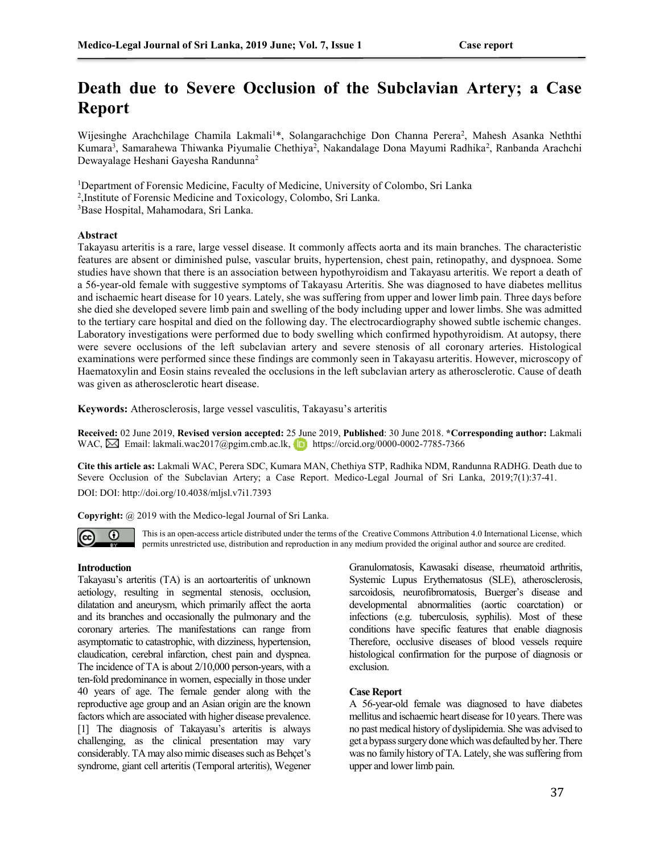# **Death due to Severe Occlusion of the Subclavian Artery; a Case Report**

Wijesinghe Arachchilage Chamila Lakmali<sup>1\*</sup>, Solangarachchige Don Channa Perera<sup>2</sup>, Mahesh Asanka Neththi Kumara<sup>3</sup>, Samarahewa Thiwanka Piyumalie Chethiya<sup>2</sup>, Nakandalage Dona Mayumi Radhika<sup>2</sup>, Ranbanda Arachchi Dewayalage Heshani Gayesha Randunna<sup>2</sup>

<sup>1</sup>Department of Forensic Medicine, Faculty of Medicine, University of Colombo, Sri Lanka

2 ,Institute of Forensic Medicine and Toxicology, Colombo, Sri Lanka.

<sup>3</sup>Base Hospital, Mahamodara, Sri Lanka.

## **Abstract**

Takayasu arteritis is a rare, large vessel disease. It commonly affects aorta and its main branches. The characteristic features are absent or diminished pulse, vascular bruits, hypertension, chest pain, retinopathy, and dyspnoea. Some studies have shown that there is an association between hypothyroidism and Takayasu arteritis. We report a death of a 56-year-old female with suggestive symptoms of Takayasu Arteritis. She was diagnosed to have diabetes mellitus and ischaemic heart disease for 10 years. Lately, she was suffering from upper and lower limb pain. Three days before she died she developed severe limb pain and swelling of the body including upper and lower limbs. She was admitted to the tertiary care hospital and died on the following day. The electrocardiography showed subtle ischemic changes. Laboratory investigations were performed due to body swelling which confirmed hypothyroidism. At autopsy, there were severe occlusions of the left subclavian artery and severe stenosis of all coronary arteries. Histological examinations were performed since these findings are commonly seen in Takayasu arteritis. However, microscopy of Haematoxylin and Eosin stains revealed the occlusions in the left subclavian artery as atherosclerotic. Cause of death was given as atherosclerotic heart disease.

**Keywords:** Atherosclerosis, large vessel vasculitis, Takayasu's arteritis

**Received:** 02 June 2019, **Revised version accepted:** 25 June 2019, **Published**: 30 June 2018. **\*Corresponding author:** Lakmali WAC,M Email: lakmali.wac2017@pgim.cmb.ac.lk, https://orcid.org/0000-0002-7785-7366

**Cite this article as:** Lakmali WAC, Perera SDC, Kumara MAN, Chethiya STP, Radhika NDM, Randunna RADHG. Death due to Severe Occlusion of the Subclavian Artery; a Case Report. Medico-Legal Journal of Sri Lanka, 2019;7(1):37-41.

DOI: DOI: http://doi.org/10.4038/mljsl.v7i1.7393

**Copyright:** @ 2019 with the Medico-legal Journal of Sri Lanka.



This is an open-access article distributed under the terms of the [Creative Commons Attribution 4.0 International License,](http://creativecommons.org/licenses/by/4.0/) which permits unrestricted use, distribution and reproduction in any medium provided the original author and source are credited.

#### **Introduction**

Takayasu's arteritis (TA) is an aortoarteritis of unknown aetiology, resulting in segmental stenosis, occlusion, dilatation and aneurysm, which primarily affect the aorta and its branches and occasionally the pulmonary and the coronary arteries. The manifestations can range from asymptomatic to catastrophic, with dizziness, hypertension, claudication, cerebral infarction, chest pain and dyspnea. The incidence of TA is about 2/10,000 person-years, with a ten-fold predominance in women, especially in those under 40 years of age. The female gender along with the reproductive age group and an Asian origin are the known factors which are associated with higher disease prevalence. [1] The diagnosis of Takayasu's arteritis is always challenging, as the clinical presentation may vary considerably. TA may also mimic diseases such as Behçet's syndrome, giant cell arteritis (Temporal arteritis), Wegener

Granulomatosis, Kawasaki disease, rheumatoid arthritis, Systemic Lupus Erythematosus (SLE), atherosclerosis, sarcoidosis, neurofibromatosis, Buerger's disease and developmental abnormalities (aortic coarctation) or infections (e.g. tuberculosis, syphilis). Most of these conditions have specific features that enable diagnosis Therefore, occlusive diseases of blood vessels require histological confirmation for the purpose of diagnosis or exclusion.

#### **Case Report**

A 56-year-old female was diagnosed to have diabetes mellitus and ischaemic heart disease for 10 years. There was no past medical history of dyslipidemia. She was advised to get a bypass surgery done which was defaulted by her. There was no family history of TA. Lately, she was suffering from upper and lower limb pain.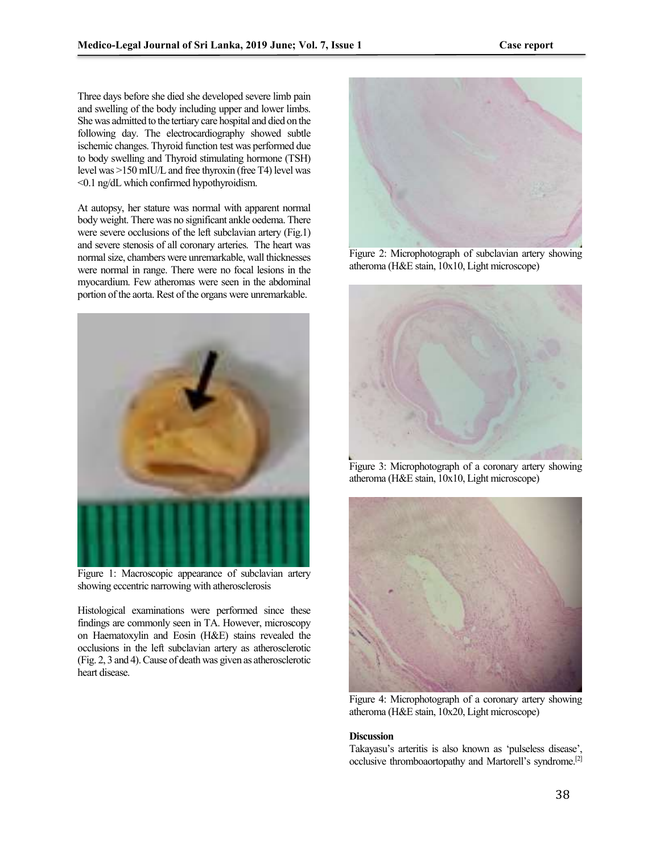Three days before she died she developed severe limb pain and swelling of the body including upper and lower limbs. She was admitted to the tertiary care hospital and died on the following day. The electrocardiography showed subtle ischemic changes. Thyroid function test was performed due to body swelling and Thyroid stimulating hormone (TSH) level was >150 mIU/L and free thyroxin (free T4) level was ˂0.1 ng/dL which confirmed hypothyroidism.

At autopsy, her stature was normal with apparent normal body weight. There was no significant ankle oedema. There were severe occlusions of the left subclavian artery (Fig.1) and severe stenosis of all coronary arteries. The heart was normal size, chambers were unremarkable, wall thicknesses were normal in range. There were no focal lesions in the myocardium. Few atheromas were seen in the abdominal portion of the aorta. Rest of the organs were unremarkable.



Figure 1: Macroscopic appearance of subclavian artery showing eccentric narrowing with atherosclerosis

Histological examinations were performed since these findings are commonly seen in TA. However, microscopy on Haematoxylin and Eosin (H&E) stains revealed the occlusions in the left subclavian artery as atherosclerotic (Fig. 2, 3 and 4). Cause of death was given as atherosclerotic heart disease.



Figure 2: Microphotograph of subclavian artery showing atheroma (H&E stain, 10x10, Light microscope)



Figure 3: Microphotograph of a coronary artery showing atheroma (H&E stain, 10x10, Light microscope)



Figure 4: Microphotograph of a coronary artery showing atheroma (H&E stain, 10x20, Light microscope)

#### **Discussion**

Takayasu's arteritis is also known as 'pulseless disease', occlusive thromboaortopathy and Martorell's syndrome.[2]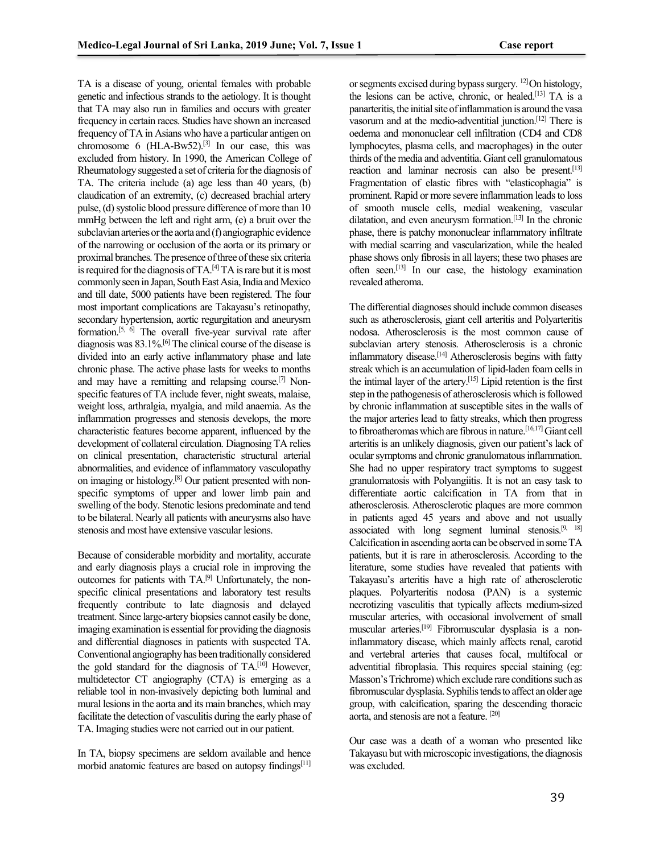TA is a disease of young, oriental females with probable genetic and infectious strands to the aetiology. It is thought that TA may also run in families and occurs with greater frequency in certain races. Studies have shown an increased frequency ofTA in Asians who have a particular antigen on chromosome 6  $(HLA-Bw52)$ .<sup>[3]</sup> In our case, this was excluded from history. In 1990, the American College of Rheumatology suggested a set of criteria for the diagnosis of TA. The criteria include (a) age less than 40 years, (b) claudication of an extremity, (c) decreased brachial artery pulse, (d) systolic blood pressure difference of more than 10 mmHg between the left and right arm, (e) a bruit over the subclavian arteries or the aorta and (f) angiographic evidence of the narrowing or occlusion of the aorta or its primary or proximal branches. The presence of three of these six criteria is required for the diagnosis of  $TA$ <sup>[4]</sup>  $TA$  is rare but it is most commonly seen in Japan, South East Asia, India and Mexico and till date, 5000 patients have been registered. The four most important complications are Takayasu's retinopathy, secondary hypertension, aortic regurgitation and aneurysm formation.<sup>[5,  $\overline{6}$ ]</sup> The overall five-year survival rate after diagnosis was 83.1%.[6] The clinical course of the disease is divided into an early active inflammatory phase and late chronic phase. The active phase lasts for weeks to months and may have a remitting and relapsing course.<sup>[7]</sup> Nonspecific features of TA include fever, night sweats, malaise, weight loss, arthralgia, myalgia, and mild anaemia. As the inflammation progresses and stenosis develops, the more characteristic features become apparent, influenced by the development of collateral circulation. Diagnosing TA relies on clinical presentation, characteristic structural arterial abnormalities, and evidence of inflammatory vasculopathy on imaging or histology.[8] Our patient presented with nonspecific symptoms of upper and lower limb pain and swelling of the body. Stenotic lesions predominate and tend to be bilateral. Nearly all patients with aneurysms also have stenosis and most have extensive vascular lesions.

Because of considerable morbidity and mortality, accurate and early diagnosis plays a crucial role in improving the outcomes for patients with TA.[9] Unfortunately, the nonspecific clinical presentations and laboratory test results frequently contribute to late diagnosis and delayed treatment. Since large-artery biopsies cannot easily be done, imaging examination is essential for providing the diagnosis and differential diagnoses in patients with suspected TA. Conventional angiography has been traditionally considered the gold standard for the diagnosis of TA.<sup>[10]</sup> However, multidetector CT angiography (CTA) is emerging as a reliable tool in non-invasively depicting both luminal and mural lesions in the aorta and its main branches, which may facilitate the detection of vasculitis during the early phase of TA. Imaging studies were not carried out in our patient.

In TA, biopsy specimens are seldom available and hence morbid anatomic features are based on autopsy findings<sup>[11]</sup>

or segments excised during bypass surgery. 12] On histology, the lesions can be active, chronic, or healed.<sup>[13]</sup> TA is a panarteritis, the initial site of inflammation is around the vasa vasorum and at the medio-adventitial junction.[12] There is oedema and mononuclear cell infiltration (CD4 and CD8 lymphocytes, plasma cells, and macrophages) in the outer thirds of the media and adventitia. Giant cell granulomatous reaction and laminar necrosis can also be present.<sup>[13]</sup> Fragmentation of elastic fibres with "elasticophagia" is prominent. Rapid or more severe inflammation leads to loss of smooth muscle cells, medial weakening, vascular dilatation, and even aneurysm formation.[13] In the chronic phase, there is patchy mononuclear inflammatory infiltrate with medial scarring and vascularization, while the healed phase shows only fibrosis in all layers; these two phases are often seen.[13] In our case, the histology examination revealed atheroma.

The differential diagnoses should include common diseases such as atherosclerosis, giant cell arteritis and Polyarteritis nodosa. Atherosclerosis is the most common cause of subclavian artery stenosis. Atherosclerosis is a chronic inflammatory disease.[14] Atherosclerosis begins with fatty streak which is an accumulation of lipid-laden foam cells in the intimal layer of the artery.[15] Lipid retention is the first step in the pathogenesis of atherosclerosis which is followed by chronic inflammation at susceptible sites in the walls of the major arteries lead to fatty streaks, which then progress to fibroatheromas which are fibrous in nature.[16,17] Giant cell arteritis is an unlikely diagnosis, given our patient's lack of ocular symptoms and chronic granulomatous inflammation. She had no upper respiratory tract symptoms to suggest granulomatosis with Polyangiitis. It is not an easy task to differentiate aortic calcification in TA from that in atherosclerosis. Atherosclerotic plaques are more common in patients aged 45 years and above and not usually associated with long segment luminal stenosis.<sup>[9, 18]</sup> Calcification in ascending aorta can be observed in some TA patients, but it is rare in atherosclerosis. According to the literature, some studies have revealed that patients with Takayasu's arteritis have a high rate of atherosclerotic plaques. Polyarteritis nodosa (PAN) is a systemic necrotizing vasculitis that typically affects medium-sized muscular arteries, with occasional involvement of small muscular arteries.[19] Fibromuscular dysplasia is a noninflammatory disease, which mainly affects renal, carotid and vertebral arteries that causes focal, multifocal or adventitial fibroplasia. This requires special staining (eg: Masson's Trichrome) which exclude rare conditions such as fibromuscular dysplasia. Syphilis tends to affect an older age group, with calcification, sparing the descending thoracic aorta, and stenosis are not a feature. [20]

Our case was a death of a woman who presented like Takayasu but with microscopic investigations, the diagnosis was excluded.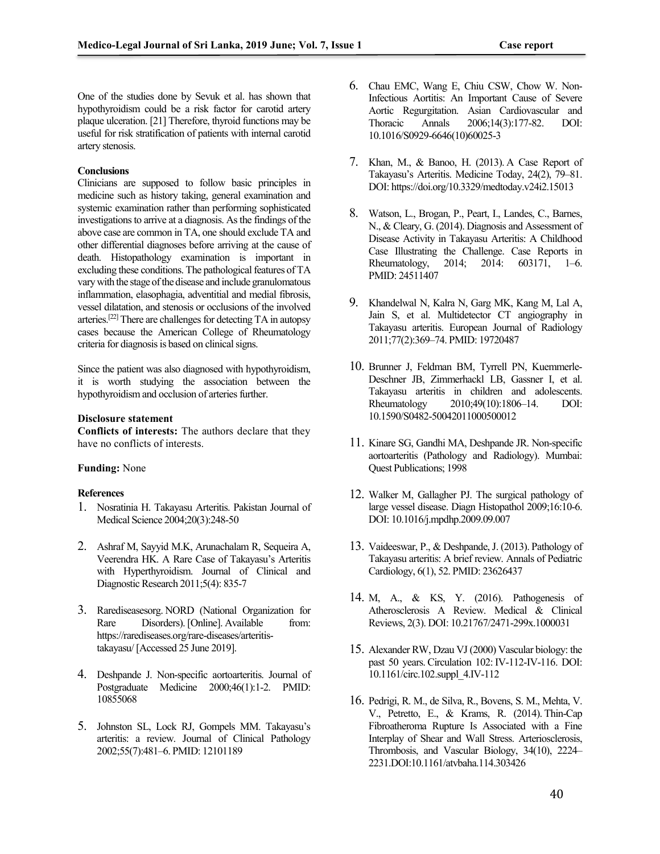One of the studies done by Sevuk et al. has shown that hypothyroidism could be a risk factor for carotid artery plaque ulceration. [21] Therefore, thyroid functions may be useful for risk stratification of patients with internal carotid artery stenosis.

### **Conclusions**

Clinicians are supposed to follow basic principles in medicine such as history taking, general examination and systemic examination rather than performing sophisticated investigations to arrive at a diagnosis. As the findings of the above case are common in TA, one should exclude TA and other differential diagnoses before arriving at the cause of death. Histopathology examination is important in excluding these conditions. The pathological features of TA vary with the stage of the disease and include granulomatous inflammation, elasophagia, adventitial and medial fibrosis, vessel dilatation, and stenosis or occlusions of the involved arteries.[22] There are challenges for detecting TA in autopsy cases because the American College of Rheumatology criteria for diagnosis is based on clinical signs.

Since the patient was also diagnosed with hypothyroidism, it is worth studying the association between the hypothyroidism and occlusion of arteries further.

#### **Disclosure statement**

**Conflicts of interests:** The authors declare that they have no conflicts of interests.

## **Funding:** None

#### **References**

- 1. Nosratinia H. Takayasu Arteritis. Pakistan Journal of Medical Science 2004;20(3):248-50
- 2. Ashraf M, Sayyid M.K, Arunachalam R, Sequeira A, Veerendra HK. A Rare Case of Takayasu's Arteritis with Hyperthyroidism. Journal of Clinical and Diagnostic Research 2011;5(4): 835-7
- 3. Rarediseasesorg. NORD (National Organization for Rare Disorders). [Online]. Available from: https://rarediseases.org/rare-diseases/arteritistakayasu/ [Accessed 25 June 2019].
- 4. Deshpande J. Non-specific aortoarteritis. Journal of Postgraduate Medicine 2000;46(1):1-2. PMID: 10855068
- 5. Johnston SL, Lock RJ, Gompels MM. Takayasu's arteritis: a review. Journal of Clinical Pathology 2002;55(7):481–6. PMID: 12101189
- 6. Chau EMC, Wang E, Chiu CSW, Chow W. Non-Infectious Aortitis: An Important Cause of Severe Aortic Regurgitation. Asian Cardiovascular and Thoracic Annals 2006;14(3):177-82. DOI: [10.1016/S0929-6646\(10\)60025-3](https://doi.org/10.1016/S0929-6646(10)60025-3)
- 7. Khan, M., & Banoo, H. (2013). A Case Report of Takayasu's Arteritis. Medicine Today, 24(2), 79–81. DOI[: https://doi.org/10.3329/medtoday.v24i2.15013](https://doi.org/10.3329/medtoday.v24i2.15013)
- 8. Watson, L., Brogan, P., Peart, I., Landes, C., Barnes, N., & Cleary, G. (2014). Diagnosis and Assessment of Disease Activity in Takayasu Arteritis: A Childhood Case Illustrating the Challenge. Case Reports in Rheumatology, 2014; 2014: 603171, 1–6. PMID[: 24511407](https://www.ncbi.nlm.nih.gov/pubmed/24511407)
- 9. Khandelwal N, Kalra N, Garg MK, Kang M, Lal A, Jain S, et al. Multidetector CT angiography in Takayasu arteritis. European Journal of Radiology 2011;77(2):369–74. PMID: 19720487
- 10. Brunner J, Feldman BM, Tyrrell PN, Kuemmerle-Deschner JB, Zimmerhackl LB, Gassner I, et al. Takayasu arteritis in children and adolescents. Rheumatology 2010;49(10):1806–14. DOI: 10.1590/S0482-50042011000500012
- 11. Kinare SG, Gandhi MA, Deshpande JR. Non-specific aortoarteritis (Pathology and Radiology). Mumbai: Quest Publications; 1998
- 12. Walker M, Gallagher PJ. The surgical pathology of large vessel disease. Diagn Histopathol 2009;16:10-6. [DOI: 10.1016/j.mpdhp.2009.09.007](https://doi.org/10.1016/j.mpdhp.2009.09.007)
- 13. Vaideeswar, P., & Deshpande, J. (2013). Pathology of Takayasu arteritis: A brief review. Annals of Pediatric Cardiology, 6(1), 52. PMID[: 23626437](https://www.ncbi.nlm.nih.gov/pubmed/23626437)
- 14. M, A., & KS, Y. (2016). Pathogenesis of Atherosclerosis A Review. Medical & Clinical Reviews, 2(3). DOI: 10.21767/2471-299x.1000031
- 15. Alexander RW, Dzau VJ (2000) Vascular biology: the past 50 years. Circulation 102: IV-112-IV-116. DOI: 10.1161/circ.102.suppl\_4.IV-112
- 16. Pedrigi, R. M., de Silva, R., Bovens, S. M., Mehta, V. V., Petretto, E., & Krams, R. (2014). Thin-Cap Fibroatheroma Rupture Is Associated with a Fine Interplay of Shear and Wall Stress. Arteriosclerosis, Thrombosis, and Vascular Biology, 34(10), 2224– 2231.DOI:10.1161/atvbaha.114.303426